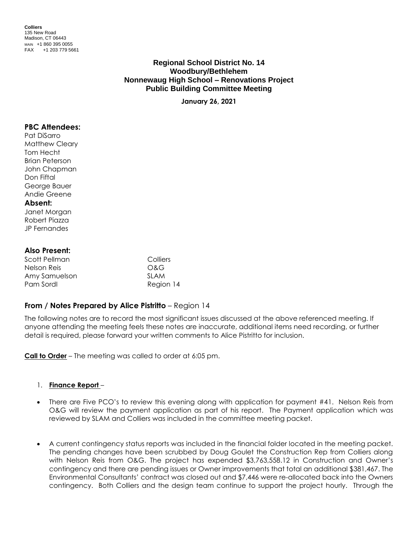**Colliers** 135 New Road Madison, CT 06443 MAIN +1 860 395 0055 FAX +1 203 779 5661

# **Regional School District No. 14 Woodbury/Bethlehem Nonnewaug High School – Renovations Project Public Building Committee Meeting**

**January 26, 2021**

#### **PBC Attendees:**

Pat DiSarro Matthew Cleary Tom Hecht Brian Peterson John Chapman Don Fiftal George Bauer Andie Greene

# **Absent:**

Janet Morgan Robert Piazza JP Fernandes

#### **Also Present:**

| Scott Pellman | Colliers  |
|---------------|-----------|
| Nelson Reis   | O&G       |
| Amy Samuelson | SI AM     |
| Pam Sordl     | Region 14 |

### **From / Notes Prepared by Alice Pistritto** – Region 14

The following notes are to record the most significant issues discussed at the above referenced meeting. If anyone attending the meeting feels these notes are inaccurate, additional items need recording, or further detail is required, please forward your written comments to Alice Pistritto for inclusion.

**Call to Order** – The meeting was called to order at 6:05 pm.

#### 1. **Finance Report** –

- There are Five PCO's to review this evening along with application for payment #41. Nelson Reis from O&G will review the payment application as part of his report. The Payment application which was reviewed by SLAM and Colliers was included in the committee meeting packet.
- A current contingency status reports was included in the financial folder located in the meeting packet. The pending changes have been scrubbed by Doug Goulet the Construction Rep from Colliers along with Nelson Reis from O&G. The project has expended \$3,763,558.12 in Construction and Owner's contingency and there are pending issues or Owner improvements that total an additional \$381,467. The Environmental Consultants' contract was closed out and \$7,446 were re-allocated back into the Owners contingency. Both Colliers and the design team continue to support the project hourly. Through the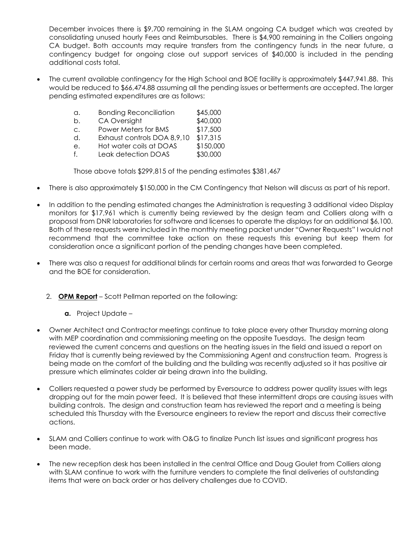December invoices there is \$9,700 remaining in the SLAM ongoing CA budget which was created by consolidating unused hourly Fees and Reimbursables. There is \$4,900 remaining in the Colliers ongoing CA budget. Both accounts may require transfers from the contingency funds in the near future, a contingency budget for ongoing close out support services of \$40,000 is included in the pending additional costs total.

 The current available contingency for the High School and BOE facility is approximately \$447,941.88. This would be reduced to \$66,474.88 assuming all the pending issues or betterments are accepted. The larger pending estimated expenditures are as follows:

| а. | <b>Bonding Reconciliation</b> | \$45,000 |
|----|-------------------------------|----------|
|    |                               |          |

| b. | CA Oversight                                                                      | \$40,000      |
|----|-----------------------------------------------------------------------------------|---------------|
|    | $D_{\text{max}}$ $\rightarrow$ $A_{\text{max}}$ $A_{\text{max}}$ $D_{\text{max}}$ | $0.17$ $0.00$ |

- c. Power Meters for BMS \$17,500 d. Exhaust controls DOA 8,9,10 \$17,315
- e. Hot water coils at DOAS \$150,000
- f. Leak detection DOAS \$30,000

Those above totals \$299,815 of the pending estimates \$381,467

- There is also approximately \$150,000 in the CM Contingency that Nelson will discuss as part of his report.
- In addition to the pending estimated changes the Administration is requesting 3 additional video Display monitors for \$17,961 which is currently being reviewed by the design team and Colliers along with a proposal from DNR laboratories for software and licenses to operate the displays for an additional \$6,100. Both of these requests were included in the monthly meeting packet under "Owner Requests" I would not recommend that the committee take action on these requests this evening but keep them for consideration once a significant portion of the pending changes have been completed.
- There was also a request for additional blinds for certain rooms and areas that was forwarded to George and the BOE for consideration.
	- 2. **OPM Report** Scott Pellman reported on the following:
		- **a.** Project Update –
- Owner Architect and Contractor meetings continue to take place every other Thursday morning along with MEP coordination and commissioning meeting on the opposite Tuesdays. The design team reviewed the current concerns and questions on the heating issues in the field and issued a report on Friday that is currently being reviewed by the Commissioning Agent and construction team. Progress is being made on the comfort of the building and the building was recently adjusted so it has positive air pressure which eliminates colder air being drawn into the building.
- Colliers requested a power study be performed by Eversource to address power quality issues with legs dropping out for the main power feed. It is believed that these intermittent drops are causing issues with building controls. The design and construction team has reviewed the report and a meeting is being scheduled this Thursday with the Eversource engineers to review the report and discuss their corrective actions.
- SLAM and Colliers continue to work with O&G to finalize Punch list issues and significant progress has been made.
- The new reception desk has been installed in the central Office and Doug Goulet from Colliers along with SLAM continue to work with the furniture venders to complete the final deliveries of outstanding items that were on back order or has delivery challenges due to COVID.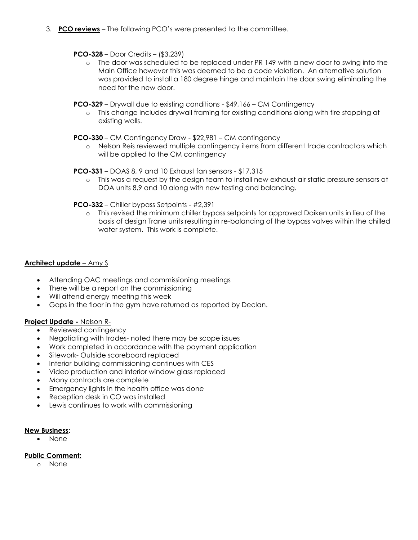3. **PCO reviews** – The following PCO's were presented to the committee.

### **PCO-328** – Door Credits – (\$3,239)

- o The door was scheduled to be replaced under PR 149 with a new door to swing into the Main Office however this was deemed to be a code violation. An alternative solution was provided to install a 180 degree hinge and maintain the door swing eliminating the need for the new door.
- **PCO-329** Drywall due to existing conditions \$49,166 CM Contingency
	- o This change includes drywall framing for existing conditions along with fire stopping at existing walls.

#### **PCO-330** – CM Contingency Draw - \$22,981 – CM contingency

o Nelson Reis reviewed multiple contingency items from different trade contractors which will be applied to the CM contingency

#### **PCO-331** – DOAS 8, 9 and 10 Exhaust fan sensors - \$17,315

o This was a request by the design team to install new exhaust air static pressure sensors at DOA units 8,9 and 10 along with new testing and balancing.

### **PCO-332** – Chiller bypass Setpoints - #2,391

o This revised the minimum chiller bypass setpoints for approved Daiken units in lieu of the basis of design Trane units resulting in re-balancing of the bypass valves within the chilled water system. This work is complete.

### **Architect update** – Amy S

- Attending OAC meetings and commissioning meetings
- There will be a report on the commissioning
- Will attend energy meeting this week
- Gaps in the floor in the gym have returned as reported by Declan.

### **Project Update -** Nelson R-

- Reviewed contingency
- Negotiating with trades- noted there may be scope issues
- Work completed in accordance with the payment application
- Sitework- Outside scoreboard replaced
- Interior building commissioning continues with CES
- Video production and interior window glass replaced
- Many contracts are complete
- Emergency lights in the health office was done
- Reception desk in CO was installed
- Lewis continues to work with commissioning

#### **New Business**:

None

### **Public Comment:**

o None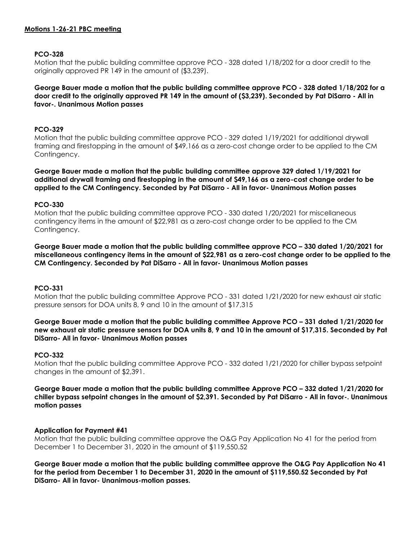## **PCO-328**

Motion that the public building committee approve PCO - 328 dated 1/18/202 for a door credit to the originally approved PR 149 in the amount of (\$3,239).

**George Bauer made a motion that the public building committee approve PCO - 328 dated 1/18/202 for a door credit to the originally approved PR 149 in the amount of (\$3,239). Seconded by Pat DiSarro - All in favor-. Unanimous Motion passes**

## **PCO-329**

Motion that the public building committee approve PCO - 329 dated 1/19/2021 for additional drywall framing and firestopping in the amount of \$49,166 as a zero-cost change order to be applied to the CM Contingency.

**George Bauer made a motion that the public building committee approve 329 dated 1/19/2021 for additional drywall framing and firestopping in the amount of \$49,166 as a zero-cost change order to be applied to the CM Contingency. Seconded by Pat DiSarro - All in favor- Unanimous Motion passes**

### **PCO-330**

Motion that the public building committee approve PCO - 330 dated 1/20/2021 for miscellaneous contingency items in the amount of \$22,981 as a zero-cost change order to be applied to the CM Contingency.

**George Bauer made a motion that the public building committee approve PCO – 330 dated 1/20/2021 for miscellaneous contingency items in the amount of \$22,981 as a zero-cost change order to be applied to the CM Contingency. Seconded by Pat DiSarro - All in favor- Unanimous Motion passes**

### **PCO-331**

Motion that the public building committee Approve PCO - 331 dated 1/21/2020 for new exhaust air static pressure sensors for DOA units 8, 9 and 10 in the amount of \$17,315

**George Bauer made a motion that the public building committee Approve PCO – 331 dated 1/21/2020 for new exhaust air static pressure sensors for DOA units 8, 9 and 10 in the amount of \$17,315. Seconded by Pat DiSarro- All in favor- Unanimous Motion passes**

# **PCO-332**

Motion that the public building committee Approve PCO - 332 dated 1/21/2020 for chiller bypass setpoint changes in the amount of \$2,391.

**George Bauer made a motion that the public building committee Approve PCO – 332 dated 1/21/2020 for chiller bypass setpoint changes in the amount of \$2,391. Seconded by Pat DiSarro - All in favor-. Unanimous motion passes**

### **Application for Payment #41**

Motion that the public building committee approve the O&G Pay Application No 41 for the period from December 1 to December 31, 2020 in the amount of \$119,550.52

**George Bauer made a motion that the public building committee approve the O&G Pay Application No 41 for the period from December 1 to December 31, 2020 in the amount of \$119,550.52 Seconded by Pat DiSarro- All in favor- Unanimous-motion passes.**